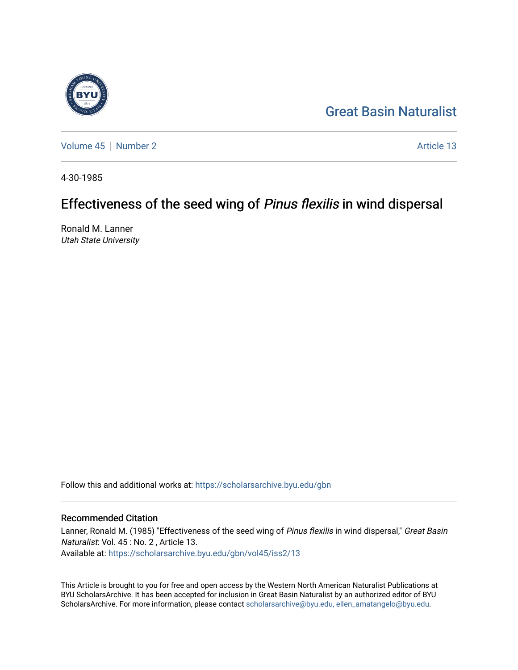

[Great Basin Naturalist](https://scholarsarchive.byu.edu/gbn) 

[Volume 45](https://scholarsarchive.byu.edu/gbn/vol45) [Number 2](https://scholarsarchive.byu.edu/gbn/vol45/iss2) Article 13

4-30-1985

# Effectiveness of the seed wing of Pinus flexilis in wind dispersal

Ronald M. Lanner Utah State University

Follow this and additional works at: [https://scholarsarchive.byu.edu/gbn](https://scholarsarchive.byu.edu/gbn?utm_source=scholarsarchive.byu.edu%2Fgbn%2Fvol45%2Fiss2%2F13&utm_medium=PDF&utm_campaign=PDFCoverPages) 

# Recommended Citation

Lanner, Ronald M. (1985) "Effectiveness of the seed wing of Pinus flexilis in wind dispersal," Great Basin Naturalist: Vol. 45 : No. 2 , Article 13. Available at: [https://scholarsarchive.byu.edu/gbn/vol45/iss2/13](https://scholarsarchive.byu.edu/gbn/vol45/iss2/13?utm_source=scholarsarchive.byu.edu%2Fgbn%2Fvol45%2Fiss2%2F13&utm_medium=PDF&utm_campaign=PDFCoverPages) 

This Article is brought to you for free and open access by the Western North American Naturalist Publications at BYU ScholarsArchive. It has been accepted for inclusion in Great Basin Naturalist by an authorized editor of BYU ScholarsArchive. For more information, please contact [scholarsarchive@byu.edu, ellen\\_amatangelo@byu.edu.](mailto:scholarsarchive@byu.edu,%20ellen_amatangelo@byu.edu)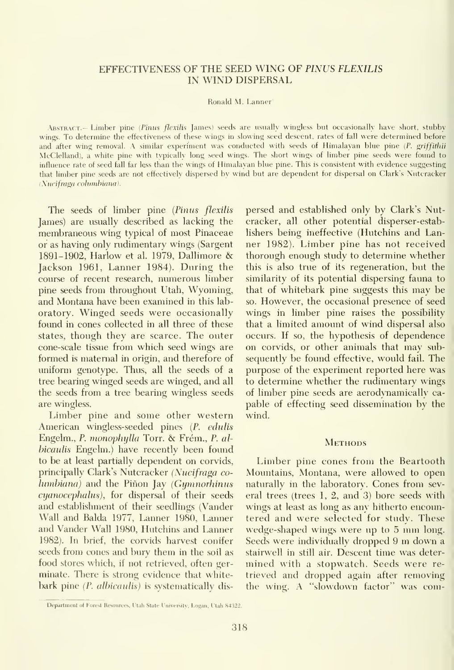# EFFECTIVENESS OF THE SEED WING OF PINUS FLEXILIS IN WIND DISPERSAL

Ronald M. Lanner'

ABSTRACT.- Limber pine (Pinus flexilis James) seeds are usually wingless but occasionally have short, stubby wings. To determine the effectiveness of these wings in slowing seed descent, rates of fall were determined before and after wing removal. A similar experiment was conducted with seeds of Himalayan blue pine (P. griffithii McClelland), a white pine with typically long seed wings. The short wings of limber pine seeds were found to influence rate of seed fall far less than the wings of Himalayan blue pine. This is consistent with evidence suggesting that limber pine seeds are not effectively dispersed by wind but are dependent for dispersal on Clark's Nutcracker (Nucifraga columbiana).

The seeds of limber pine (Pinus flexilis James) are usually described as lacking the membraneous wing typical of most Pinaceae or as having only rudimentary wings (Sargent 1891-1902, Harlow et al. 1979, Dallimore & Jackson 1961, Lanner 1984). During the course of recent research, numerous limber pine seeds from throughout Utah, Wyoming, and Montana have been examined in this lab oratory. Winged seeds were occasionally foimd in cones collected in all three of these states, though they are scarce. The outer cone-scale tissue from which seed wings are formed is maternal in origin, and therefore of uniform genotype. Thus, all the seeds of a tree bearing winged seeds are winged, and all the seeds from a tree bearing wingless seeds are wingless.

Limber pine and some other western American wingless-seeded pines {P. edulis Engelm., P. monophylla Torr. & Frém., P. alhicaulis Engelm.) have recently been found to be at least partially dependent on corvids, principally Clark's Nutcracker (Nucifraga co $lumbiana$ ) and the Piñon Jay (Gymnorhinus cyanocephahis), for dispersal of their seeds and establishment of their seedlings (Vander Wall and Balda 1977, Lanner 1980, Lanner and Vander Wall 1980, Hutchins and Lanner 1982). In brief, the corvids harvest conifer seeds from cones and bury them in the soil as food stores which, if not retrieved, often ger minate. There is strong evidence that whitebark pine (P. albicaulis) is systematically dispersed and established only by Clark's Nutcracker, all other potential disperser-establishers being ineffective (Hutchins and Lanner 1982). Limber pine has not received thorough enough study to determine whether this is also true of its regeneration, but the similarity of its potential dispersing fauna to that of whitebark pine suggests this may be so. However, the occasional presence of seed wings in limber pine raises the possibility that a limited amount of wind dispersal also occurs. If so, the hypothesis of dependence on corvids, or other animals that may sub sequently be found effective, would fail. The purpose of the experiment reported here was to determine whether the rudimentary wings of limber pine seeds are aerodynamically ca pable of effecting seed dissemination by the wind.

### **METHODS**

Limber pine cones from the Beartooth Mountains, Montana, were allowed to open naturally in the laboratory. Cones from several trees (trees 1, 2, and 3) bore seeds with wings at least as long as any hitherto encountered and were selected for study. These wedge-shaped wings were up to <sup>5</sup> mm long. Seeds were individually dropped <sup>9</sup> m down <sup>a</sup> stairwell in still air. Descent time was deter mined with a stopwatch. Seeds were re trieved and dropped again after removing the wing. A "slowdown factor" was com-

Department of Forest Resources, Utah State University, Logan, Utah 84322.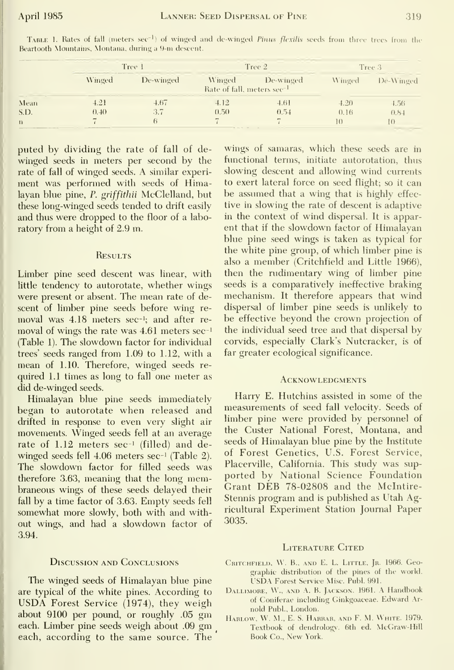|  | ٠ |
|--|---|
|  |   |
|  |   |

|              | Tree 1                   |           | Tree 2                                           |           | Tree 3         |                           |
|--------------|--------------------------|-----------|--------------------------------------------------|-----------|----------------|---------------------------|
|              | Winged                   | De-winged | Winged<br>Rate of fall, meters sec <sup>-1</sup> | De-winged | Winged         | De-Winged                 |
| Mean         | 4.21                     | 4.67      | 4.12                                             | 4.61      | 4.20           | $-4.56$                   |
| S.D.         | 0.40                     | 3.7       | (0.50)                                           | 0.54      | 0.16           | 0.84                      |
| $\mathbf{n}$ | $\overline{\phantom{a}}$ |           |                                                  |           | $\mathbf{1}$ ( | $\mathbb{I}(\mathcal{C})$ |

TABLE 1. Rates of fall (meters sec<sup>-1</sup>) of winged and de-winged *Pinus flexilis* seeds from three trees from the Beartooth Mountains, Montana, during a 9-m descent.

puted by dividing the rate of fall of dewinged seeds in meters per second by the rate of fall of winged seeds. A similar experiment was performed with seeds of Himalayan blue pine, P. griffithii McClelland, but these long-winged seeds tended to drift easily and thus were dropped to the floor of a laboratory from a height of 2.9 m.

## **RESULTS**

Limber pine seed descent was linear, with little tendency to autorotate, whether wings were present or absent. The mean rate of descent of limber pine seeds before wing removal was 4.18 meters sec-1; and after removal of wings the rate was 4.61 meters sec-1 (Table 1). The slowdown factor for individual trees' seeds ranged from 1.09 to 1.12, with a mean of 1.10. Therefore, winged seeds required 1.1 times as long to fall one meter as did de-winged seeds.

Himalayan blue pine seeds immediately began to autorotate when released and drifted in response to even very slight air movements. Winged seeds fell at an average rate of 1.12 meters sec<sup>-1</sup> (filled) and dewinged seeds fell 4.06 meters sec-1 (Table 2). The slowdown factor for filled seeds was therefore 3.63, meaning that the long membraneous wings of these seeds delayed their fall by a time factor of 3.63. Empty seeds fell somewhat more slowly, both with and without wings, and had a slowdown factor of 3.94.

#### **DISCUSSION AND CONCLUSIONS**

The winged seeds of Himalayan blue pine are typical of the white pines. According to USDA Forest Service (1974), they weigh about 9100 per pound, or roughly .05 gm each. Limber pine seeds weigh about .09 gm each, according to the same source. The

wings of samaras, which these seeds are in functional terms, initiate autorotation, thus slowing descent and allowing wind currents to exert lateral force on seed flight; so it can be assumed that a wing that is highly effective in slowing the rate of descent is adaptive in the context of wind dispersal. It is apparent that if the slowdown factor of Himalayan blue pine seed wings is taken as typical for the white pine group, of which limber pine is also a member (Critchfield and Little 1966), then the rudimentary wing of limber pine seeds is a comparatively ineffective braking mechanism. It therefore appears that wind dispersal of limber pine seeds is unlikely to be effective beyond the crown projection of the individual seed tree and that dispersal by corvids, especially Clark's Nutcracker, is of far greater ecological significance.

#### **ACKNOWLEDGMENTS**

Harry E. Hutchins assisted in some of the measurements of seed fall velocity. Seeds of limber pine were provided by personnel of the Custer National Forest, Montana, and seeds of Himalayan blue pine by the Institute of Forest Genetics, U.S. Forest Service, Placerville, California. This study was supported by National Science Foundation Grant DEB 78-02808 and the McIntire-Stennis program and is published as Utah Agricultural Experiment Station Journal Paper 3035.

#### **LITERATURE CITED**

- CRITCHFIELD, W. B., AND E. L. LITTLE, JR. 1966. Geographic distribution of the pines of the world. USDA Forest Service Misc. Publ. 991.
- DALLIMORE, W., AND A. B. JACKSON. 1961. A Handbook of Coniferae including Ginkgoaceae. Edward Arnold Publ., London.
- HARLOW, W. M., E. S. HARRAR, AND F. M. WHITE. 1979. Textbook of dendrology. 6th ed. McGraw-Hill Book Co., New York.